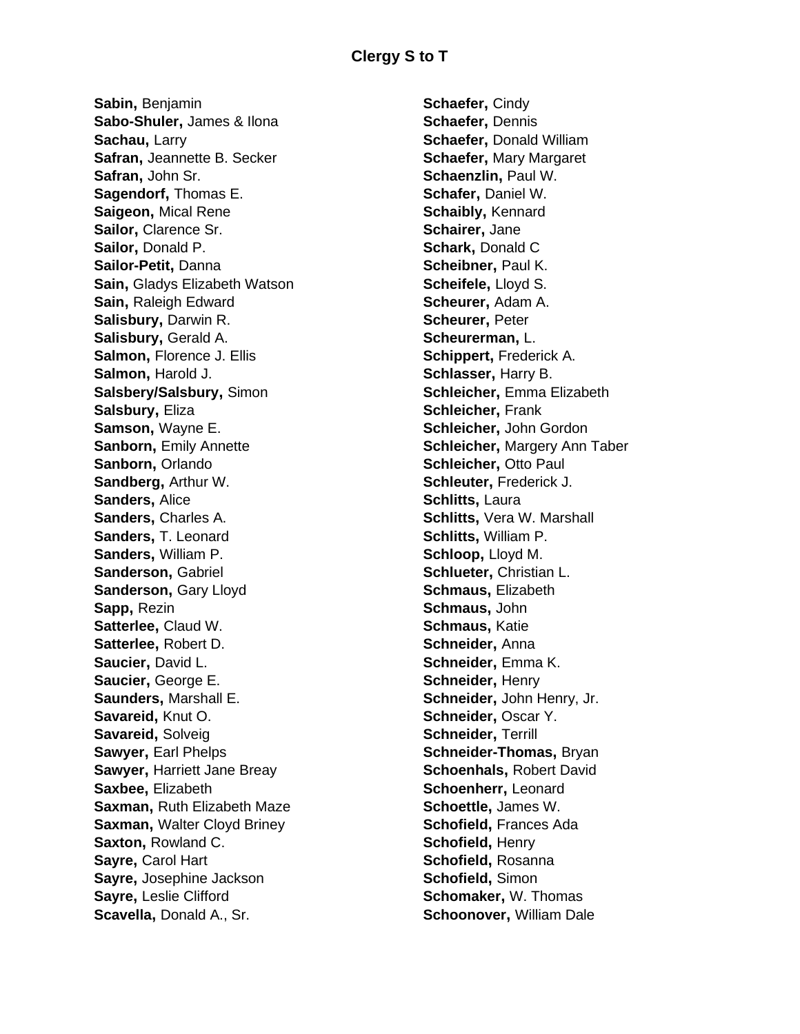**Sabin,** Benjamin **Sabo-Shuler,** James & Ilona **Sachau,** Larry **Safran,** Jeannette B. Secker **Safran,** John Sr. **Sagendorf,** Thomas E. **Saigeon,** Mical Rene **Sailor,** Clarence Sr. **Sailor,** Donald P. **Sailor-Petit,** Danna **Sain,** Gladys Elizabeth Watson **Sain,** Raleigh Edward **Salisbury,** Darwin R. **Salisbury,** Gerald A. **Salmon, Florence J. Ellis Salmon,** Harold J. **Salsbery/Salsbury,** Simon **Salsbury,** Eliza **Samson,** Wayne E. **Sanborn, Emily Annette Sanborn,** Orlando **Sandberg,** Arthur W. **Sanders,** Alice **Sanders,** Charles A. **Sanders,** T. Leonard **Sanders,** William P. **Sanderson,** Gabriel **Sanderson, Gary Lloyd Sapp,** Rezin **Satterlee,** Claud W. **Satterlee,** Robert D. **Saucier,** David L. **Saucier,** George E. **Saunders,** Marshall E. **Savareid,** Knut O. **Savareid,** Solveig **Sawyer**, Earl Phelps **Sawyer,** Harriett Jane Breay **Saxbee,** Elizabeth **Saxman,** Ruth Elizabeth Maze **Saxman,** Walter Cloyd Briney **Saxton,** Rowland C. **Sayre,** Carol Hart **Sayre,** Josephine Jackson **Sayre,** Leslie Clifford **Scavella,** Donald A., Sr.

**Schaefer,** Cindy **Schaefer,** Dennis **Schaefer,** Donald William **Schaefer,** Mary Margaret **Schaenzlin,** Paul W. **Schafer,** Daniel W. **Schaibly,** Kennard **Schairer,** Jane **Schark,** Donald C **Scheibner,** Paul K. **Scheifele,** Lloyd S. **Scheurer,** Adam A. **Scheurer,** Peter **Scheurerman,** L. **Schippert,** Frederick A. **Schlasser,** Harry B. **Schleicher,** Emma Elizabeth **Schleicher,** Frank **Schleicher,** John Gordon **Schleicher,** Margery Ann Taber **Schleicher,** Otto Paul **Schleuter,** Frederick J. **Schlitts,** Laura **Schlitts,** Vera W. Marshall **Schlitts,** William P. **Schloop,** Lloyd M. **Schlueter,** Christian L. **Schmaus,** Elizabeth **Schmaus,** John **Schmaus,** Katie **Schneider,** Anna **Schneider,** Emma K. **Schneider,** Henry **Schneider,** John Henry, Jr. **Schneider,** Oscar Y. **Schneider,** Terrill **Schneider-Thomas,** Bryan **Schoenhals,** Robert David **Schoenherr,** Leonard **Schoettle,** James W. **Schofield,** Frances Ada **Schofield,** Henry **Schofield,** Rosanna **Schofield,** Simon **Schomaker,** W. Thomas **Schoonover,** William Dale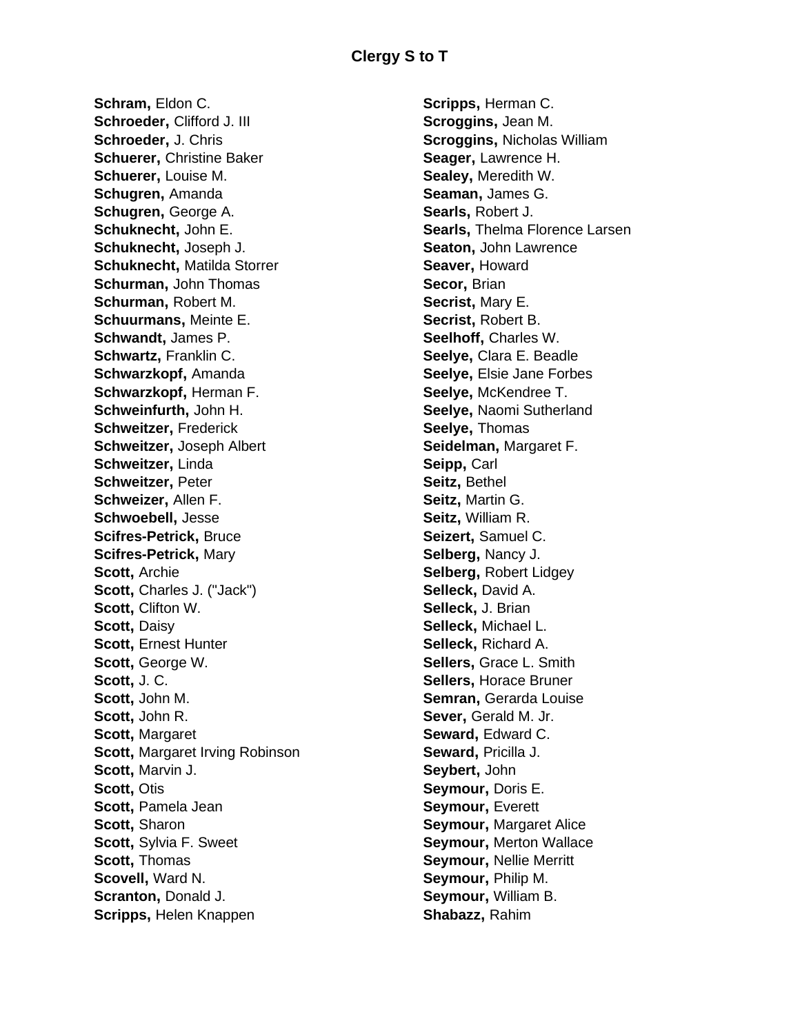**Schram,** Eldon C. **Schroeder,** Clifford J. III **Schroeder,** J. Chris **Schuerer,** Christine Baker **Schuerer,** Louise M. **Schugren,** Amanda **Schugren,** George A. **Schuknecht,** John E. **Schuknecht,** Joseph J. **Schuknecht,** Matilda Storrer **Schurman,** John Thomas **Schurman,** Robert M. **Schuurmans,** Meinte E. **Schwandt,** James P. **Schwartz,** Franklin C. **Schwarzkopf,** Amanda **Schwarzkopf,** Herman F. **Schweinfurth,** John H. **Schweitzer,** Frederick **Schweitzer,** Joseph Albert **Schweitzer,** Linda **Schweitzer,** Peter **Schweizer,** Allen F. **Schwoebell,** Jesse **Scifres-Petrick,** Bruce **Scifres-Petrick,** Mary **Scott,** Archie **Scott,** Charles J. ("Jack") **Scott,** Clifton W. **Scott,** Daisy **Scott,** Ernest Hunter **Scott,** George W. **Scott,** J. C. **Scott,** John M. **Scott,** John R. **Scott,** Margaret **Scott,** Margaret Irving Robinson **Scott,** Marvin J. **Scott,** Otis **Scott,** Pamela Jean **Scott,** Sharon **Scott,** Sylvia F. Sweet **Scott,** Thomas **Scovell,** Ward N. **Scranton,** Donald J. **Scripps,** Helen Knappen

**Scripps,** Herman C. **Scroggins,** Jean M. **Scroggins,** Nicholas William **Seager,** Lawrence H. **Sealey,** Meredith W. **Seaman,** James G. **Searls,** Robert J. **Searls,** Thelma Florence Larsen **Seaton,** John Lawrence **Seaver,** Howard **Secor,** Brian **Secrist,** Mary E. **Secrist,** Robert B. **Seelhoff,** Charles W. **Seelye,** Clara E. Beadle **Seelye,** Elsie Jane Forbes **Seelye,** McKendree T. **Seelye,** Naomi Sutherland **Seelye,** Thomas **Seidelman,** Margaret F. **Seipp,** Carl **Seitz,** Bethel **Seitz,** Martin G. **Seitz,** William R. **Seizert,** Samuel C. **Selberg,** Nancy J. **Selberg,** Robert Lidgey **Selleck,** David A. **Selleck,** J. Brian **Selleck,** Michael L. **Selleck,** Richard A. **Sellers,** Grace L. Smith **Sellers,** Horace Bruner **Semran,** Gerarda Louise **Sever,** Gerald M. Jr. **Seward,** Edward C. **Seward,** Pricilla J. **Seybert,** John **Seymour,** Doris E. **Seymour,** Everett **Seymour,** Margaret Alice **Seymour,** Merton Wallace **Seymour,** Nellie Merritt **Seymour,** Philip M. **Seymour,** William B. **Shabazz,** Rahim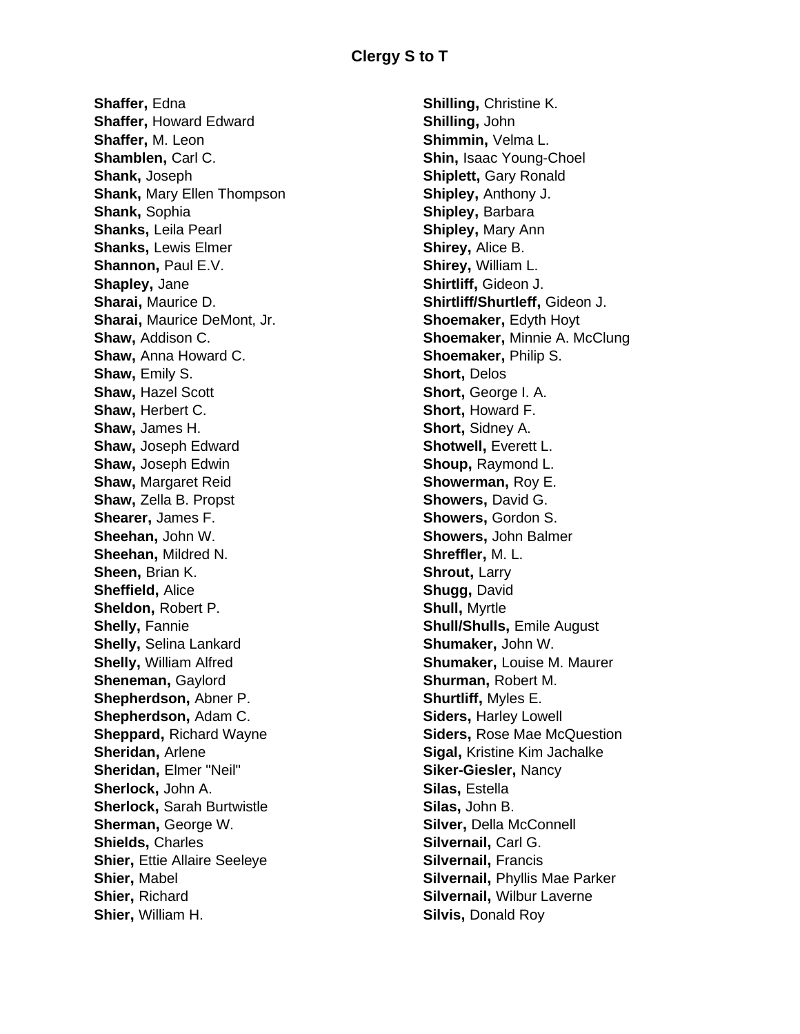**Shaffer,** Edna **Shaffer,** Howard Edward **Shaffer,** M. Leon **Shamblen,** Carl C. **Shank,** Joseph **Shank,** Mary Ellen Thompson **Shank,** Sophia **Shanks,** Leila Pearl **Shanks,** Lewis Elmer **Shannon, Paul E.V. Shapley,** Jane **Sharai,** Maurice D. **Sharai,** Maurice DeMont, Jr. **Shaw,** Addison C. **Shaw,** Anna Howard C. **Shaw,** Emily S. **Shaw,** Hazel Scott **Shaw,** Herbert C. **Shaw,** James H. **Shaw,** Joseph Edward **Shaw,** Joseph Edwin **Shaw,** Margaret Reid **Shaw,** Zella B. Propst **Shearer,** James F. **Sheehan,** John W. **Sheehan,** Mildred N. **Sheen,** Brian K. **Sheffield,** Alice **Sheldon,** Robert P. **Shelly,** Fannie **Shelly,** Selina Lankard **Shelly,** William Alfred **Sheneman,** Gaylord **Shepherdson,** Abner P. **Shepherdson,** Adam C. **Sheppard,** Richard Wayne **Sheridan,** Arlene **Sheridan,** Elmer "Neil" **Sherlock,** John A. **Sherlock,** Sarah Burtwistle **Sherman,** George W. **Shields,** Charles **Shier, Ettie Allaire Seeleye Shier,** Mabel **Shier,** Richard **Shier,** William H.

**Shilling,** Christine K. **Shilling,** John **Shimmin,** Velma L. **Shin,** Isaac Young-Choel **Shiplett, Gary Ronald Shipley,** Anthony J. **Shipley,** Barbara **Shipley,** Mary Ann **Shirey,** Alice B. **Shirey,** William L. **Shirtliff,** Gideon J. **Shirtliff/Shurtleff,** Gideon J. **Shoemaker**, Edyth Hoyt **Shoemaker,** Minnie A. McClung **Shoemaker,** Philip S. **Short,** Delos **Short,** George I. A. **Short,** Howard F. **Short,** Sidney A. **Shotwell,** Everett L. **Shoup,** Raymond L. **Showerman,** Roy E. **Showers,** David G. **Showers,** Gordon S. **Showers,** John Balmer **Shreffler,** M. L. **Shrout**, Larry **Shugg,** David **Shull,** Myrtle **Shull/Shulls,** Emile August **Shumaker,** John W. **Shumaker,** Louise M. Maurer **Shurman,** Robert M. **Shurtliff,** Myles E. **Siders,** Harley Lowell **Siders,** Rose Mae McQuestion **Sigal,** Kristine Kim Jachalke **Siker-Giesler,** Nancy **Silas,** Estella **Silas,** John B. **Silver,** Della McConnell **Silvernail,** Carl G. **Silvernail,** Francis **Silvernail,** Phyllis Mae Parker **Silvernail,** Wilbur Laverne **Silvis,** Donald Roy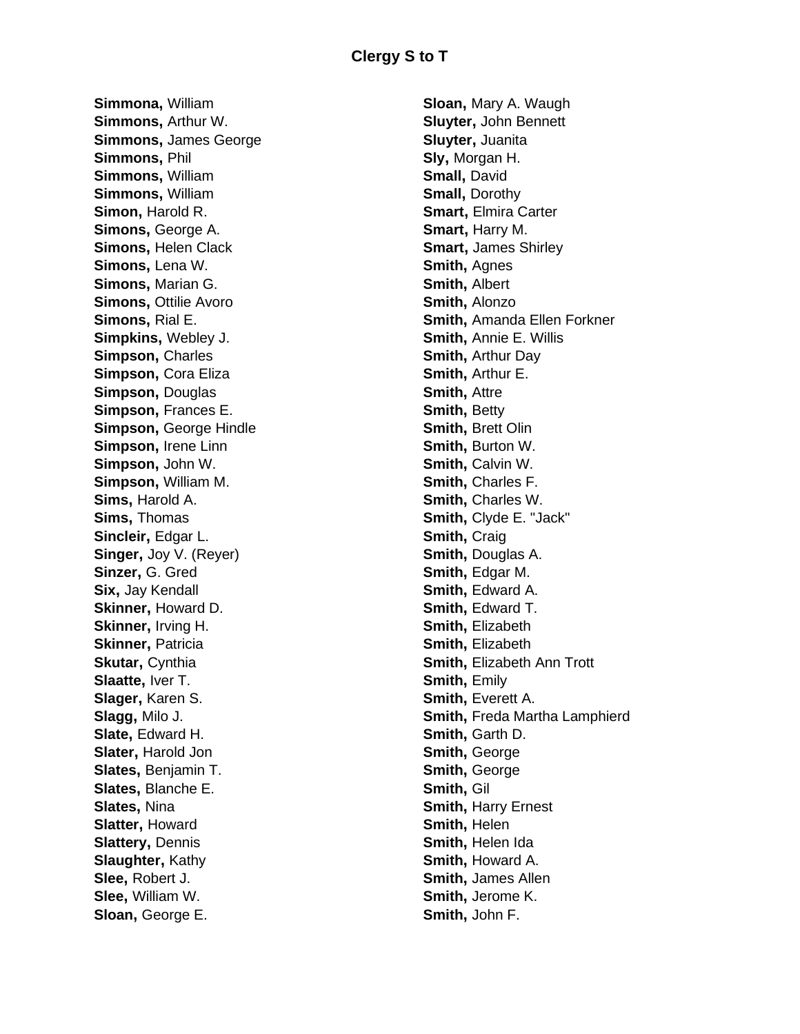**Simmona,** William **Simmons,** Arthur W. **Simmons,** James George **Simmons,** Phil **Simmons,** William **Simmons,** William **Simon,** Harold R. **Simons,** George A. **Simons,** Helen Clack **Simons,** Lena W. **Simons,** Marian G. **Simons**, Ottilie Avoro **Simons,** Rial E. **Simpkins,** Webley J. **Simpson,** Charles **Simpson,** Cora Eliza **Simpson,** Douglas **Simpson,** Frances E. **Simpson, George Hindle Simpson,** Irene Linn **Simpson,** John W. **Simpson,** William M. **Sims,** Harold A. **Sims,** Thomas **Sincleir,** Edgar L. **Singer,** Joy V. (Reyer) **Sinzer,** G. Gred **Six,** Jay Kendall **Skinner,** Howard D. **Skinner,** Irving H. **Skinner,** Patricia **Skutar**, Cynthia **Slaatte,** Iver T. **Slager,** Karen S. **Slagg,** Milo J. **Slate,** Edward H. **Slater,** Harold Jon **Slates,** Benjamin T. **Slates,** Blanche E. **Slates,** Nina **Slatter,** Howard **Slattery,** Dennis **Slaughter,** Kathy **Slee,** Robert J. **Slee,** William W. **Sloan,** George E.

**Sloan,** Mary A. Waugh **Sluyter,** John Bennett **Sluyter,** Juanita **Sly,** Morgan H. **Small,** David **Small,** Dorothy **Smart,** Elmira Carter **Smart,** Harry M. **Smart,** James Shirley **Smith**, Agnes **Smith,** Albert **Smith,** Alonzo **Smith,** Amanda Ellen Forkner **Smith,** Annie E. Willis **Smith,** Arthur Day **Smith,** Arthur E. **Smith,** Attre **Smith**, Betty **Smith,** Brett Olin **Smith,** Burton W. **Smith,** Calvin W. **Smith,** Charles F. **Smith,** Charles W. **Smith,** Clyde E. "Jack" **Smith**, Craig **Smith,** Douglas A. **Smith,** Edgar M. **Smith, Edward A. Smith, Edward T. Smith,** Elizabeth **Smith,** Elizabeth **Smith,** Elizabeth Ann Trott **Smith**, **Emily Smith, Everett A. Smith,** Freda Martha Lamphierd **Smith,** Garth D. **Smith**, George **Smith,** George **Smith,** Gil **Smith, Harry Ernest Smith,** Helen **Smith,** Helen Ida **Smith,** Howard A. **Smith,** James Allen **Smith,** Jerome K. **Smith,** John F.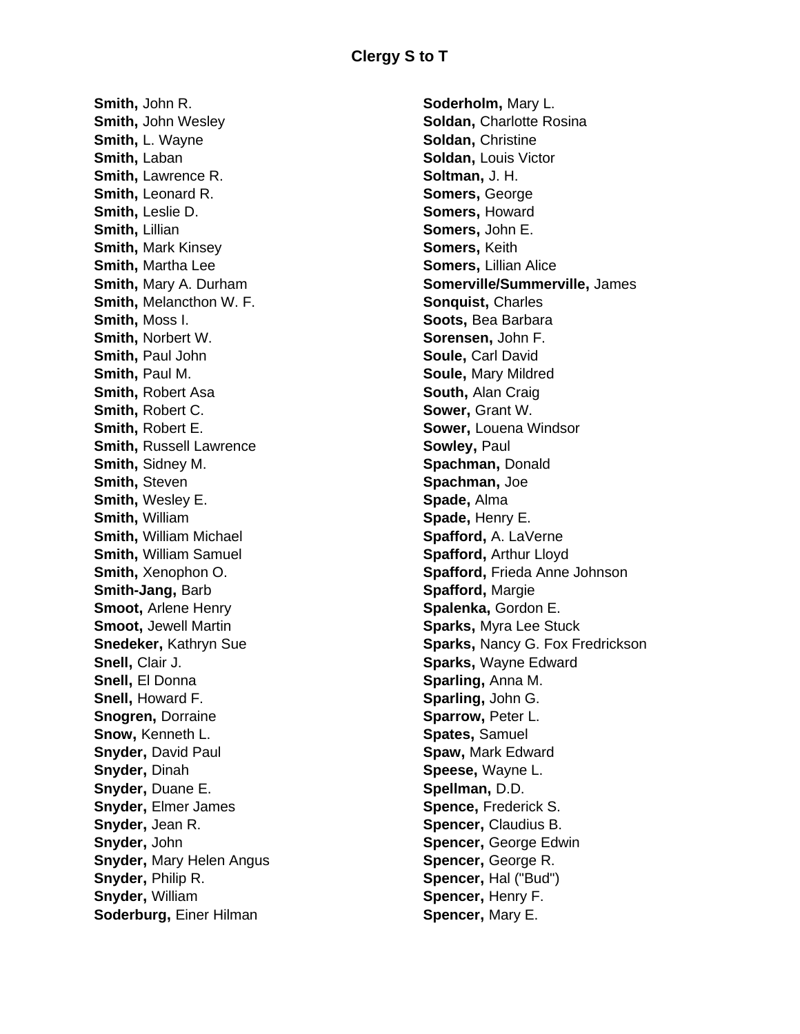**Smith,** John R. **Smith,** John Wesley **Smith,** L. Wayne **Smith,** Laban **Smith, Lawrence R. Smith, Leonard R. Smith,** Leslie D. **Smith,** Lillian **Smith,** Mark Kinsey **Smith,** Martha Lee **Smith,** Mary A. Durham **Smith,** Melancthon W. F. **Smith,** Moss I. **Smith,** Norbert W. **Smith,** Paul John **Smith,** Paul M. **Smith,** Robert Asa **Smith,** Robert C. **Smith,** Robert E. **Smith,** Russell Lawrence **Smith,** Sidney M. **Smith,** Steven **Smith,** Wesley E. **Smith,** William **Smith,** William Michael **Smith,** William Samuel **Smith,** Xenophon O. **Smith-Jang,** Barb **Smoot,** Arlene Henry **Smoot,** Jewell Martin **Snedeker,** Kathryn Sue **Snell,** Clair J. **Snell,** El Donna **Snell,** Howard F. **Snogren,** Dorraine **Snow,** Kenneth L. **Snyder,** David Paul **Snyder,** Dinah **Snyder,** Duane E. **Snyder,** Elmer James **Snyder,** Jean R. **Snyder,** John **Snyder,** Mary Helen Angus **Snyder,** Philip R. **Snyder,** William **Soderburg,** Einer Hilman

**Soderholm,** Mary L. **Soldan,** Charlotte Rosina **Soldan,** Christine **Soldan,** Louis Victor **Soltman,** J. H. **Somers,** George **Somers,** Howard **Somers,** John E. **Somers,** Keith **Somers,** Lillian Alice **Somerville/Summerville,** James **Sonquist,** Charles **Soots,** Bea Barbara **Sorensen,** John F. **Soule,** Carl David **Soule,** Mary Mildred **South,** Alan Craig **Sower,** Grant W. **Sower,** Louena Windsor **Sowley,** Paul **Spachman,** Donald **Spachman,** Joe **Spade,** Alma **Spade,** Henry E. **Spafford,** A. LaVerne **Spafford,** Arthur Lloyd **Spafford,** Frieda Anne Johnson **Spafford,** Margie **Spalenka,** Gordon E. **Sparks,** Myra Lee Stuck **Sparks,** Nancy G. Fox Fredrickson **Sparks,** Wayne Edward **Sparling,** Anna M. **Sparling,** John G. **Sparrow,** Peter L. **Spates,** Samuel **Spaw,** Mark Edward **Speese,** Wayne L. **Spellman,** D.D. **Spence,** Frederick S. **Spencer,** Claudius B. **Spencer, George Edwin Spencer,** George R. **Spencer,** Hal ("Bud") **Spencer,** Henry F. **Spencer,** Mary E.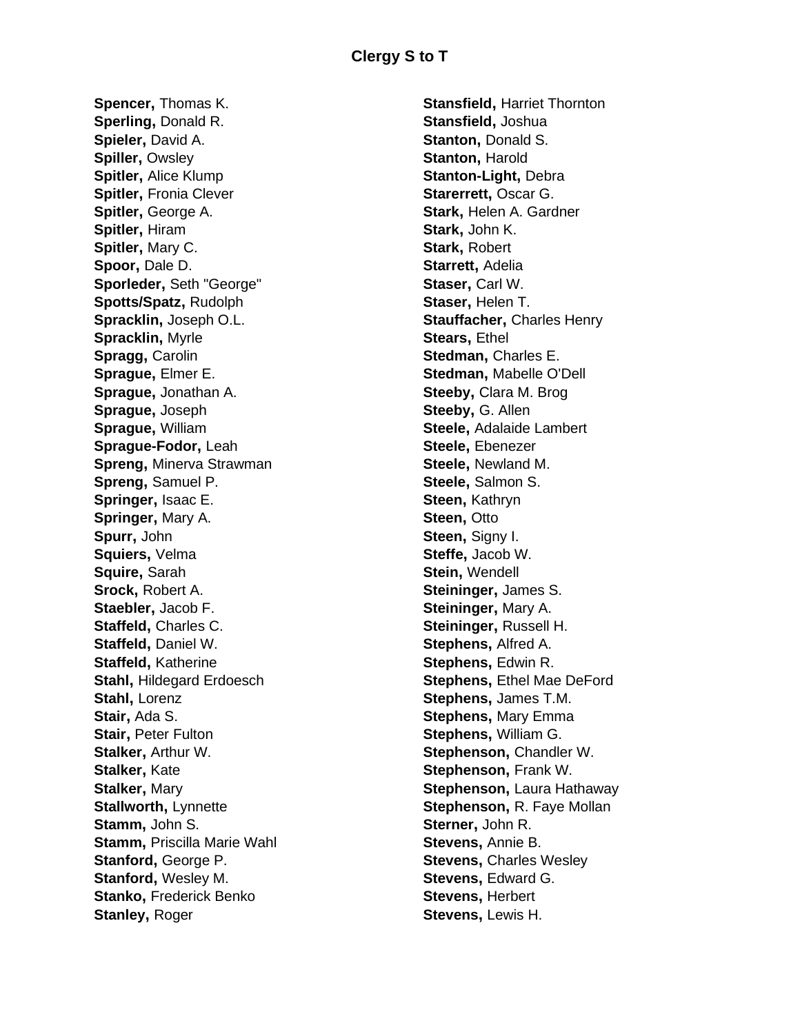**Spencer,** Thomas K. **Sperling,** Donald R. **Spieler,** David A. **Spiller, Owsley Spitler,** Alice Klump **Spitler,** Fronia Clever **Spitler,** George A. **Spitler,** Hiram **Spitler,** Mary C. **Spoor,** Dale D. **Sporleder,** Seth "George" **Spotts/Spatz,** Rudolph **Spracklin,** Joseph O.L. **Spracklin,** Myrle **Spragg,** Carolin **Sprague,** Elmer E. **Sprague,** Jonathan A. **Sprague,** Joseph **Sprague,** William **Sprague-Fodor,** Leah **Spreng,** Minerva Strawman **Spreng,** Samuel P. **Springer,** Isaac E. **Springer,** Mary A. **Spurr,** John **Squiers,** Velma **Squire,** Sarah **Srock,** Robert A. **Staebler,** Jacob F. **Staffeld,** Charles C. **Staffeld,** Daniel W. **Staffeld,** Katherine **Stahl,** Hildegard Erdoesch **Stahl,** Lorenz **Stair,** Ada S. **Stair, Peter Fulton Stalker,** Arthur W. **Stalker,** Kate **Stalker,** Mary **Stallworth,** Lynnette **Stamm,** John S. **Stamm,** Priscilla Marie Wahl **Stanford,** George P. **Stanford,** Wesley M. **Stanko, Frederick Benko Stanley,** Roger

**Stansfield,** Harriet Thornton **Stansfield,** Joshua **Stanton,** Donald S. **Stanton, Harold Stanton-Light,** Debra **Starerrett,** Oscar G. **Stark,** Helen A. Gardner **Stark,** John K. **Stark,** Robert **Starrett,** Adelia **Staser,** Carl W. **Staser,** Helen T. **Stauffacher,** Charles Henry **Stears**, **Ethel Stedman,** Charles E. **Stedman,** Mabelle O'Dell **Steeby,** Clara M. Brog **Steeby,** G. Allen **Steele,** Adalaide Lambert **Steele,** Ebenezer **Steele,** Newland M. **Steele,** Salmon S. **Steen,** Kathryn **Steen**, Otto **Steen,** Signy I. **Steffe,** Jacob W. **Stein,** Wendell **Steininger,** James S. **Steininger,** Mary A. **Steininger,** Russell H. **Stephens,** Alfred A. **Stephens,** Edwin R. **Stephens, Ethel Mae DeFord Stephens,** James T.M. **Stephens,** Mary Emma **Stephens,** William G. **Stephenson,** Chandler W. **Stephenson,** Frank W. **Stephenson,** Laura Hathaway **Stephenson,** R. Faye Mollan **Sterner,** John R. **Stevens,** Annie B. **Stevens, Charles Wesley Stevens,** Edward G. **Stevens,** Herbert **Stevens,** Lewis H.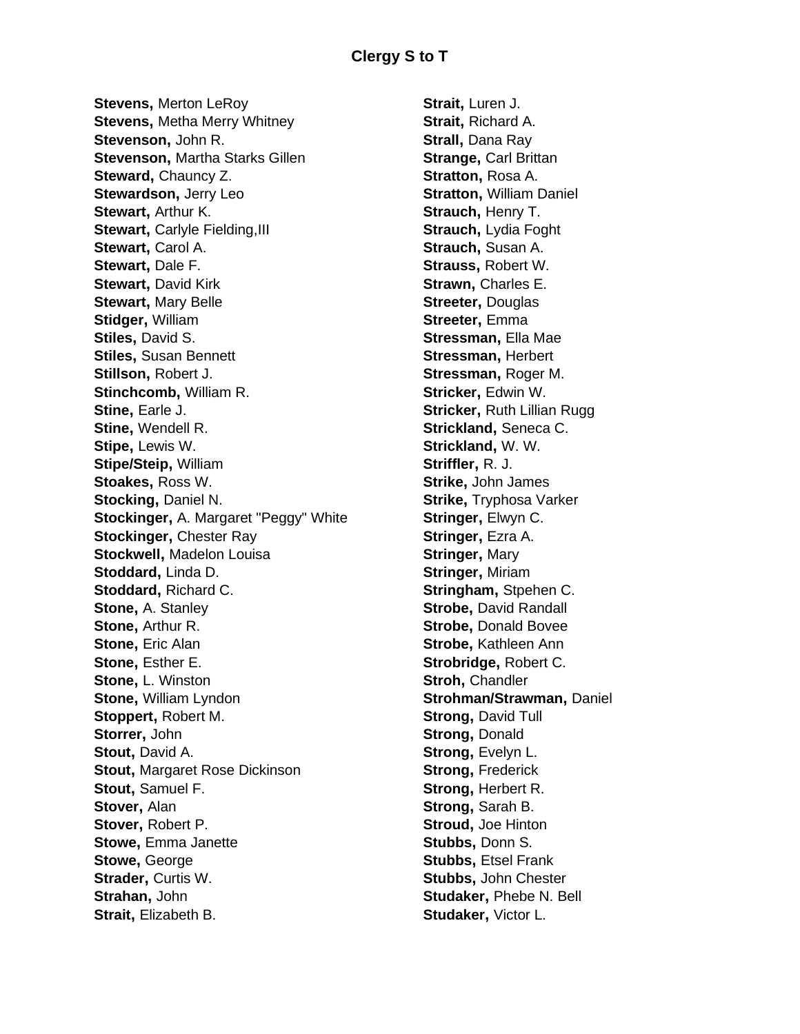**Stevens,** Merton LeRoy **Stevens,** Metha Merry Whitney **Stevenson,** John R. **Stevenson,** Martha Starks Gillen **Steward,** Chauncy Z. **Stewardson,** Jerry Leo **Stewart,** Arthur K. **Stewart, Carlyle Fielding, III Stewart**, Carol A. **Stewart,** Dale F. **Stewart**, David Kirk **Stewart,** Mary Belle **Stidger,** William **Stiles,** David S. **Stiles,** Susan Bennett **Stillson,** Robert J. **Stinchcomb,** William R. **Stine,** Earle J. **Stine,** Wendell R. **Stipe,** Lewis W. **Stipe/Steip,** William **Stoakes,** Ross W. **Stocking,** Daniel N. **Stockinger,** A. Margaret "Peggy" White **Stockinger,** Chester Ray **Stockwell,** Madelon Louisa **Stoddard,** Linda D. **Stoddard,** Richard C. **Stone,** A. Stanley **Stone,** Arthur R. **Stone, Eric Alan Stone,** Esther E. **Stone,** L. Winston **Stone,** William Lyndon **Stoppert,** Robert M. **Storrer,** John **Stout,** David A. **Stout,** Margaret Rose Dickinson **Stout,** Samuel F. **Stover,** Alan **Stover,** Robert P. **Stowe,** Emma Janette **Stowe,** George **Strader,** Curtis W. **Strahan,** John **Strait**, Elizabeth B.

**Strait,** Luren J. **Strait,** Richard A. **Strall,** Dana Ray **Strange,** Carl Brittan **Stratton,** Rosa A. **Stratton,** William Daniel **Strauch,** Henry T. **Strauch, Lydia Foght Strauch,** Susan A. **Strauss,** Robert W. **Strawn,** Charles E. **Streeter,** Douglas **Streeter,** Emma **Stressman,** Ella Mae **Stressman,** Herbert **Stressman,** Roger M. **Stricker,** Edwin W. **Stricker,** Ruth Lillian Rugg **Strickland,** Seneca C. **Strickland,** W. W. **Striffler,** R. J. **Strike,** John James **Strike,** Tryphosa Varker **Stringer,** Elwyn C. **Stringer,** Ezra A. **Stringer,** Mary **Stringer,** Miriam **Stringham,** Stpehen C. **Strobe, David Randall Strobe,** Donald Bovee **Strobe,** Kathleen Ann **Strobridge,** Robert C. **Stroh,** Chandler **Strohman/Strawman,** Daniel **Strong,** David Tull **Strong,** Donald **Strong**, Evelyn L. **Strong,** Frederick **Strong,** Herbert R. **Strong,** Sarah B. **Stroud,** Joe Hinton **Stubbs,** Donn S. **Stubbs,** Etsel Frank **Stubbs,** John Chester **Studaker,** Phebe N. Bell **Studaker,** Victor L.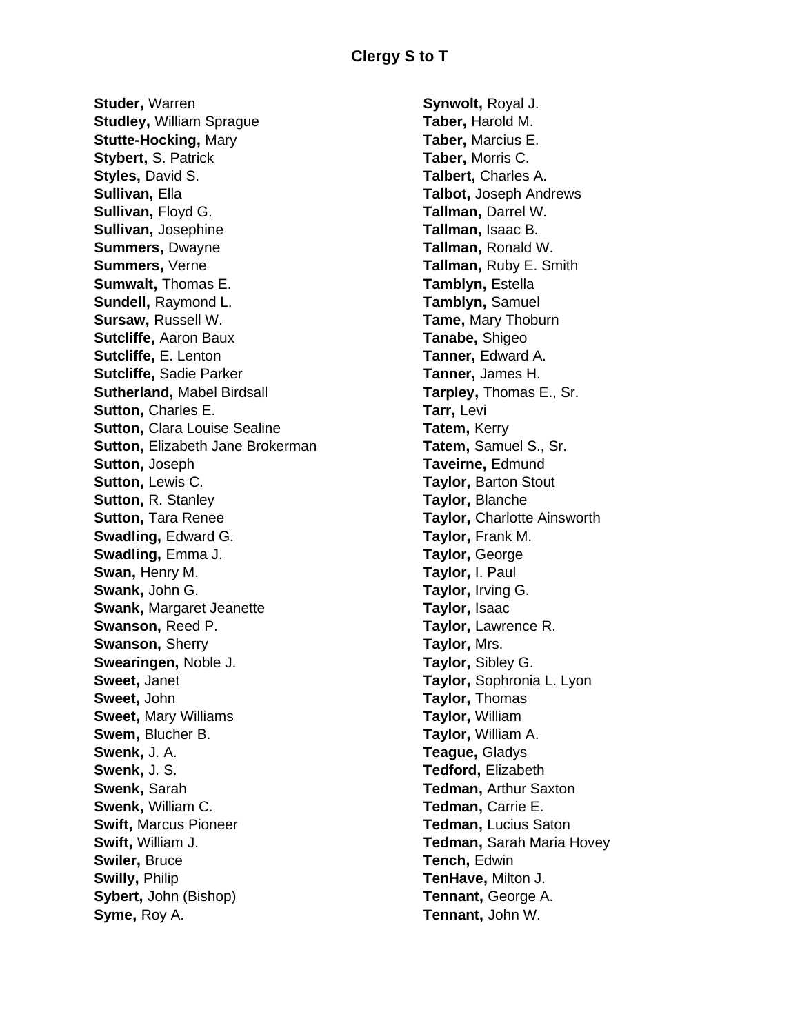**Studer,** Warren **Studley,** William Sprague **Stutte-Hocking,** Mary **Stybert,** S. Patrick **Styles,** David S. **Sullivan,** Ella **Sullivan,** Floyd G. **Sullivan,** Josephine **Summers,** Dwayne **Summers,** Verne **Sumwalt,** Thomas E. **Sundell,** Raymond L. **Sursaw,** Russell W. **Sutcliffe,** Aaron Baux **Sutcliffe,** E. Lenton **Sutcliffe,** Sadie Parker **Sutherland,** Mabel Birdsall **Sutton, Charles E. Sutton,** Clara Louise Sealine **Sutton,** Elizabeth Jane Brokerman **Sutton,** Joseph **Sutton,** Lewis C. **Sutton,** R. Stanley **Sutton,** Tara Renee **Swadling,** Edward G. **Swadling,** Emma J. **Swan,** Henry M. **Swank,** John G. **Swank,** Margaret Jeanette **Swanson,** Reed P. **Swanson,** Sherry **Swearingen,** Noble J. **Sweet,** Janet **Sweet,** John **Sweet,** Mary Williams **Swem,** Blucher B. **Swenk,** J. A. **Swenk,** J. S. **Swenk,** Sarah **Swenk,** William C. **Swift,** Marcus Pioneer **Swift,** William J. **Swiler,** Bruce **Swilly,** Philip **Sybert,** John (Bishop) **Syme,** Roy A.

**Synwolt,** Royal J. **Taber,** Harold M. **Taber,** Marcius E. **Taber,** Morris C. **Talbert,** Charles A. **Talbot,** Joseph Andrews **Tallman,** Darrel W. **Tallman,** Isaac B. **Tallman,** Ronald W. **Tallman,** Ruby E. Smith **Tamblyn,** Estella **Tamblyn,** Samuel **Tame,** Mary Thoburn **Tanabe,** Shigeo **Tanner,** Edward A. **Tanner,** James H. **Tarpley,** Thomas E., Sr. **Tarr,** Levi **Tatem,** Kerry **Tatem,** Samuel S., Sr. **Taveirne,** Edmund **Taylor,** Barton Stout **Taylor,** Blanche **Taylor,** Charlotte Ainsworth **Taylor,** Frank M. **Taylor,** George **Taylor,** I. Paul **Taylor,** Irving G. **Taylor,** Isaac **Taylor,** Lawrence R. **Taylor,** Mrs. **Taylor,** Sibley G. **Taylor,** Sophronia L. Lyon **Taylor,** Thomas **Taylor,** William **Taylor,** William A. **Teague,** Gladys **Tedford,** Elizabeth **Tedman,** Arthur Saxton **Tedman,** Carrie E. **Tedman,** Lucius Saton **Tedman,** Sarah Maria Hovey **Tench,** Edwin **TenHave,** Milton J. **Tennant,** George A. **Tennant,** John W.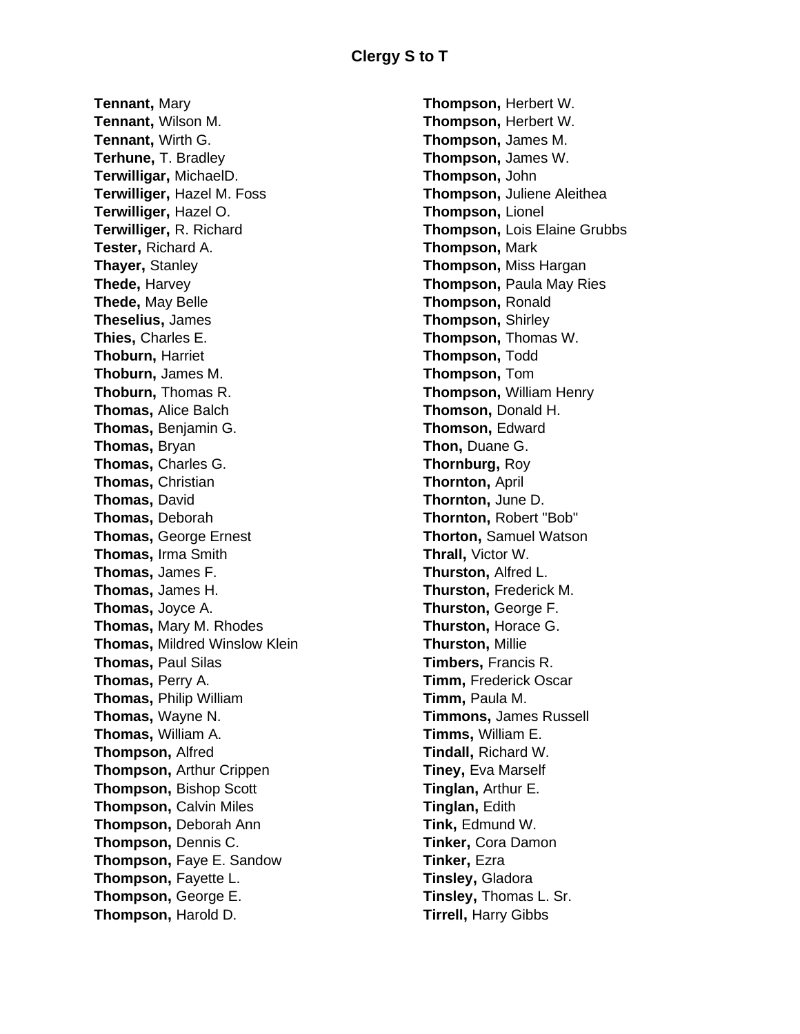**Tennant,** Mary **Tennant,** Wilson M. **Tennant,** Wirth G. **Terhune,** T. Bradley **Terwilligar,** MichaelD. **Terwilliger,** Hazel M. Foss **Terwilliger,** Hazel O. **Terwilliger,** R. Richard **Tester,** Richard A. **Thayer,** Stanley **Thede,** Harvey **Thede,** May Belle **Theselius,** James **Thies,** Charles E. **Thoburn,** Harriet **Thoburn,** James M. **Thoburn,** Thomas R. **Thomas,** Alice Balch **Thomas,** Benjamin G. **Thomas,** Bryan **Thomas,** Charles G. **Thomas,** Christian **Thomas,** David **Thomas,** Deborah **Thomas,** George Ernest **Thomas,** Irma Smith **Thomas,** James F. **Thomas,** James H. **Thomas,** Joyce A. **Thomas,** Mary M. Rhodes **Thomas,** Mildred Winslow Klein **Thomas,** Paul Silas **Thomas,** Perry A. **Thomas,** Philip William **Thomas,** Wayne N. **Thomas,** William A. **Thompson,** Alfred **Thompson,** Arthur Crippen **Thompson,** Bishop Scott **Thompson,** Calvin Miles **Thompson,** Deborah Ann **Thompson,** Dennis C. **Thompson,** Faye E. Sandow **Thompson,** Fayette L. **Thompson,** George E. **Thompson,** Harold D.

**Thompson,** Herbert W. **Thompson,** Herbert W. **Thompson,** James M. **Thompson,** James W. **Thompson,** John **Thompson,** Juliene Aleithea **Thompson,** Lionel **Thompson,** Lois Elaine Grubbs **Thompson,** Mark **Thompson,** Miss Hargan **Thompson,** Paula May Ries **Thompson,** Ronald **Thompson,** Shirley **Thompson,** Thomas W. **Thompson,** Todd **Thompson,** Tom **Thompson,** William Henry **Thomson,** Donald H. **Thomson,** Edward **Thon,** Duane G. **Thornburg,** Roy **Thornton,** April **Thornton,** June D. **Thornton,** Robert "Bob" **Thorton,** Samuel Watson **Thrall,** Victor W. **Thurston,** Alfred L. **Thurston,** Frederick M. **Thurston,** George F. **Thurston,** Horace G. **Thurston,** Millie **Timbers,** Francis R. **Timm,** Frederick Oscar **Timm,** Paula M. **Timmons,** James Russell **Timms,** William E. **Tindall,** Richard W. **Tiney,** Eva Marself **Tinglan,** Arthur E. **Tinglan,** Edith **Tink,** Edmund W. **Tinker,** Cora Damon **Tinker,** Ezra **Tinsley,** Gladora **Tinsley,** Thomas L. Sr. **Tirrell,** Harry Gibbs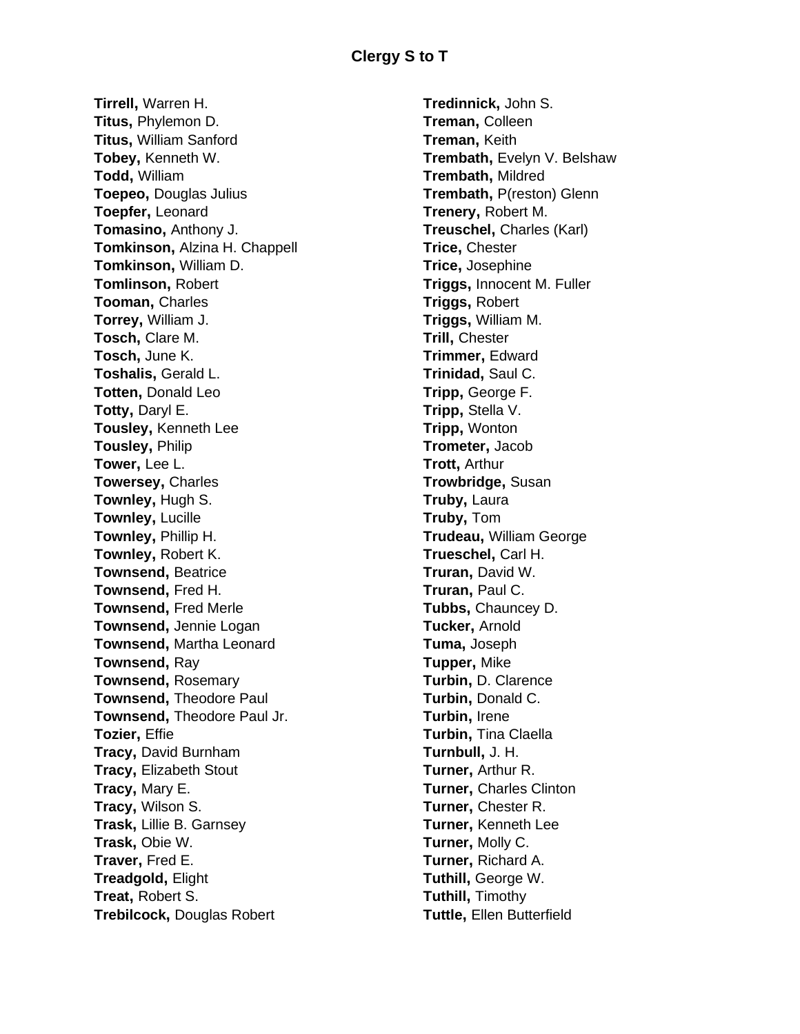**Tirrell,** Warren H. **Titus,** Phylemon D. **Titus,** William Sanford **Tobey,** Kenneth W. **Todd,** William **Toepeo,** Douglas Julius **Toepfer,** Leonard **Tomasino,** Anthony J. **Tomkinson,** Alzina H. Chappell **Tomkinson,** William D. **Tomlinson,** Robert **Tooman,** Charles **Torrey,** William J. **Tosch,** Clare M. **Tosch,** June K. **Toshalis,** Gerald L. **Totten,** Donald Leo **Totty,** Daryl E. **Tousley,** Kenneth Lee **Tousley,** Philip **Tower,** Lee L. **Towersey,** Charles **Townley,** Hugh S. **Townley,** Lucille **Townley,** Phillip H. **Townley,** Robert K. **Townsend,** Beatrice **Townsend,** Fred H. **Townsend,** Fred Merle **Townsend,** Jennie Logan **Townsend,** Martha Leonard **Townsend,** Ray **Townsend,** Rosemary **Townsend,** Theodore Paul **Townsend,** Theodore Paul Jr. **Tozier,** Effie **Tracy,** David Burnham **Tracy,** Elizabeth Stout **Tracy,** Mary E. **Tracy,** Wilson S. **Trask,** Lillie B. Garnsey **Trask,** Obie W. **Traver,** Fred E. **Treadgold,** Elight **Treat,** Robert S. **Trebilcock,** Douglas Robert

**Tredinnick,** John S. **Treman,** Colleen **Treman,** Keith **Trembath,** Evelyn V. Belshaw **Trembath,** Mildred **Trembath,** P(reston) Glenn **Trenery,** Robert M. **Treuschel,** Charles (Karl) **Trice,** Chester **Trice,** Josephine **Triggs,** Innocent M. Fuller **Triggs,** Robert **Triggs,** William M. **Trill,** Chester **Trimmer,** Edward **Trinidad,** Saul C. **Tripp,** George F. **Tripp,** Stella V. **Tripp,** Wonton **Trometer,** Jacob **Trott,** Arthur **Trowbridge,** Susan **Truby,** Laura **Truby,** Tom **Trudeau,** William George **Trueschel,** Carl H. **Truran,** David W. **Truran,** Paul C. **Tubbs,** Chauncey D. **Tucker,** Arnold **Tuma,** Joseph **Tupper,** Mike **Turbin,** D. Clarence **Turbin,** Donald C. **Turbin,** Irene **Turbin,** Tina Claella **Turnbull,** J. H. **Turner,** Arthur R. **Turner,** Charles Clinton **Turner,** Chester R. **Turner,** Kenneth Lee **Turner,** Molly C. **Turner,** Richard A. **Tuthill,** George W. **Tuthill,** Timothy **Tuttle,** Ellen Butterfield